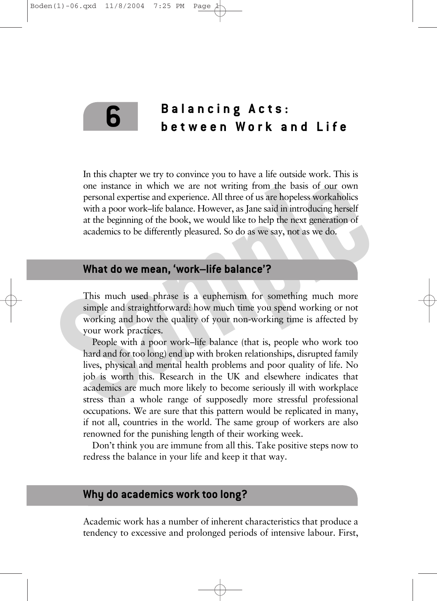# **6 Balancing Acts: between Work and Life**

In this chapter we try to convince you to have a life outside work. This is one instance in which we are not writing from the basis of our own personal expertise and experience. All three of us are hopeless workaholics with a poor work–life balance. However, as Jane said in introducing herself at the beginning of the book, we would like to help the next generation of academics to be differently pleasured. So do as we say, not as we do.

## **What do we mean, 'work–life balance'?**

This much used phrase is a euphemism for something much more simple and straightforward: how much time you spend working or not working and how the quality of your non-working time is affected by your work practices.

one instance in which we are not writing from the basis of our own<br>personal expertise and experience. All three of us are hopeless workaholics<br>with a poor work-life balance. However, as Jane siad in introducing herself<br>at People with a poor work–life balance (that is, people who work too hard and for too long) end up with broken relationships, disrupted family lives, physical and mental health problems and poor quality of life. No job is worth this. Research in the UK and elsewhere indicates that academics are much more likely to become seriously ill with workplace stress than a whole range of supposedly more stressful professional occupations. We are sure that this pattern would be replicated in many, if not all, countries in the world. The same group of workers are also renowned for the punishing length of their working week.

Don't think you are immune from all this. Take positive steps now to redress the balance in your life and keep it that way.

## **Why do academics work too long?**

Academic work has a number of inherent characteristics that produce a tendency to excessive and prolonged periods of intensive labour. First,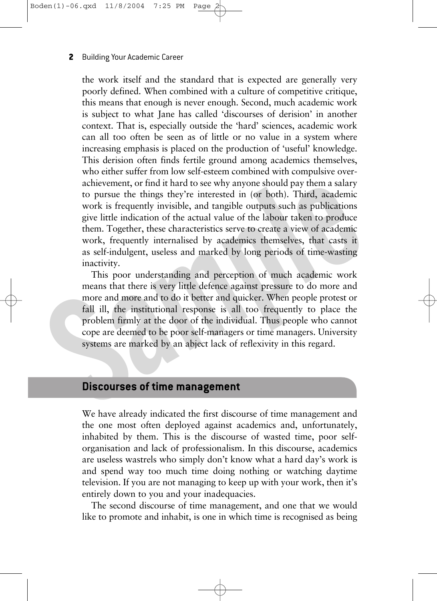#### **2** Building Your Academic Career

achievement, or that it hard to see why anyone should pay them a salary<br>to pursue the things they're interested in (or both). Third, academic<br>work is frequently invisible, and tangible outputs such as publications<br>give lit the work itself and the standard that is expected are generally very poorly defined. When combined with a culture of competitive critique, this means that enough is never enough. Second, much academic work is subject to what Jane has called 'discourses of derision' in another context. That is, especially outside the 'hard' sciences, academic work can all too often be seen as of little or no value in a system where increasing emphasis is placed on the production of 'useful' knowledge. This derision often finds fertile ground among academics themselves, who either suffer from low self-esteem combined with compulsive overachievement, or find it hard to see why anyone should pay them a salary to pursue the things they're interested in (or both). Third, academic work is frequently invisible, and tangible outputs such as publications give little indication of the actual value of the labour taken to produce them. Together, these characteristics serve to create a view of academic work, frequently internalised by academics themselves, that casts it as self-indulgent, useless and marked by long periods of time-wasting inactivity.

This poor understanding and perception of much academic work means that there is very little defence against pressure to do more and more and more and to do it better and quicker. When people protest or fall ill, the institutional response is all too frequently to place the problem firmly at the door of the individual. Thus people who cannot cope are deemed to be poor self-managers or time managers. University systems are marked by an abject lack of reflexivity in this regard.

## **Discourses of time management**

We have already indicated the first discourse of time management and the one most often deployed against academics and, unfortunately, inhabited by them. This is the discourse of wasted time, poor selforganisation and lack of professionalism. In this discourse, academics are useless wastrels who simply don't know what a hard day's work is and spend way too much time doing nothing or watching daytime television. If you are not managing to keep up with your work, then it's entirely down to you and your inadequacies.

The second discourse of time management, and one that we would like to promote and inhabit, is one in which time is recognised as being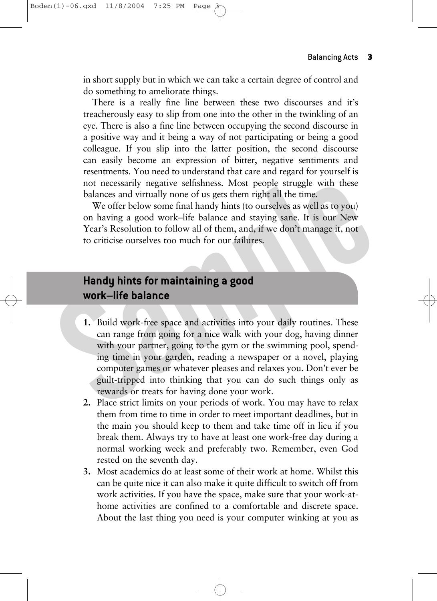in short supply but in which we can take a certain degree of control and do something to ameliorate things.

There is a really fine line between these two discourses and it's treacherously easy to slip from one into the other in the twinkling of an eye. There is also a fine line between occupying the second discourse in a positive way and it being a way of not participating or being a good colleague. If you slip into the latter position, the second discourse can easily become an expression of bitter, negative sentiments and resentments. You need to understand that care and regard for yourself is not necessarily negative selfishness. Most people struggle with these balances and virtually none of us gets them right all the time.

We offer below some final handy hints (to ourselves as well as to you) on having a good work–life balance and staying sane. It is our New Year's Resolution to follow all of them, and, if we don't manage it, not to criticise ourselves too much for our failures.

# **Handy hints for maintaining a good work–life balance**

- not necessarily negative seltishness. Most people struggle with these<br>balances and virtually none of us gets them right all the time.<br>We offer below some final handy hints (to ourselves as well as to you)<br>on having a good **1.** Build work-free space and activities into your daily routines. These can range from going for a nice walk with your dog, having dinner with your partner, going to the gym or the swimming pool, spending time in your garden, reading a newspaper or a novel, playing computer games or whatever pleases and relaxes you. Don't ever be guilt-tripped into thinking that you can do such things only as rewards or treats for having done your work.
	- **2.** Place strict limits on your periods of work. You may have to relax them from time to time in order to meet important deadlines, but in the main you should keep to them and take time off in lieu if you break them. Always try to have at least one work-free day during a normal working week and preferably two. Remember, even God rested on the seventh day.
	- **3.** Most academics do at least some of their work at home. Whilst this can be quite nice it can also make it quite difficult to switch off from work activities. If you have the space, make sure that your work-athome activities are confined to a comfortable and discrete space. About the last thing you need is your computer winking at you as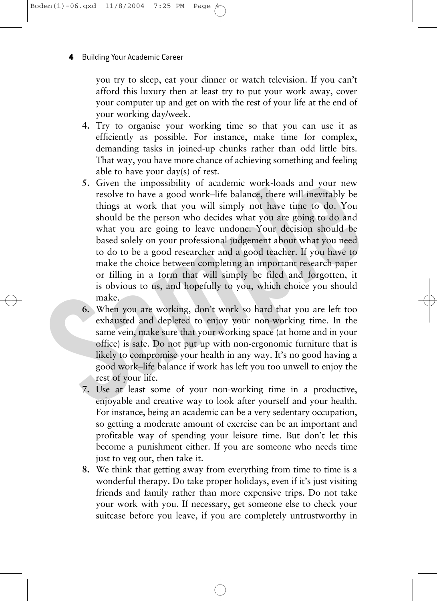### **4** Building Your Academic Career

you try to sleep, eat your dinner or watch television. If you can't afford this luxury then at least try to put your work away, cover your computer up and get on with the rest of your life at the end of your working day/week.

- **4.** Try to organise your working time so that you can use it as efficiently as possible. For instance, make time for complex, demanding tasks in joined-up chunks rather than odd little bits. That way, you have more chance of achieving something and feeling able to have your day(s) of rest.
- Solven the impossibility of academic work-loads and your new resolve to have a good work-life balance, there will invertably be things at work that you will simply not have time to do. You should be the person who decides **5.** Given the impossibility of academic work-loads and your new resolve to have a good work–life balance, there will inevitably be things at work that you will simply not have time to do. You should be the person who decides what you are going to do and what you are going to leave undone. Your decision should be based solely on your professional judgement about what you need to do to be a good researcher and a good teacher. If you have to make the choice between completing an important research paper or filling in a form that will simply be filed and forgotten, it is obvious to us, and hopefully to you, which choice you should make.
	- **6.** When you are working, don't work so hard that you are left too exhausted and depleted to enjoy your non-working time. In the same vein, make sure that your working space (at home and in your office) is safe. Do not put up with non-ergonomic furniture that is likely to compromise your health in any way. It's no good having a good work–life balance if work has left you too unwell to enjoy the rest of your life.
	- **7.** Use at least some of your non-working time in a productive, enjoyable and creative way to look after yourself and your health. For instance, being an academic can be a very sedentary occupation, so getting a moderate amount of exercise can be an important and profitable way of spending your leisure time. But don't let this become a punishment either. If you are someone who needs time just to veg out, then take it.
	- **8.** We think that getting away from everything from time to time is a wonderful therapy. Do take proper holidays, even if it's just visiting friends and family rather than more expensive trips. Do not take your work with you. If necessary, get someone else to check your suitcase before you leave, if you are completely untrustworthy in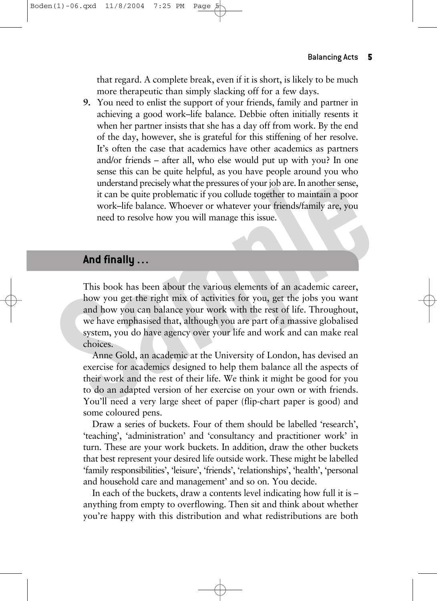that regard. A complete break, even if it is short, is likely to be much more therapeutic than simply slacking off for a few days.

**9.** You need to enlist the support of your friends, family and partner in achieving a good work–life balance. Debbie often initially resents it when her partner insists that she has a day off from work. By the end of the day, however, she is grateful for this stiffening of her resolve. It's often the case that academics have other academics as partners and/or friends – after all, who else would put up with you? In one sense this can be quite helpful, as you have people around you who understand precisely what the pressures of your job are. In another sense, it can be quite problematic if you collude together to maintain a poor work–life balance. Whoever or whatever your friends/family are, you need to resolve how you will manage this issue.

# **And finally . . .**

understand precisely what the pressures of your job are. In another sense,<br>it can be quite problematic if you collude together to maintain a poor<br>work–life balance. Whoever or whatever your friends/family are, you<br>need to This book has been about the various elements of an academic career, how you get the right mix of activities for you, get the jobs you want and how you can balance your work with the rest of life. Throughout, we have emphasised that, although you are part of a massive globalised system, you do have agency over your life and work and can make real choices.

Anne Gold, an academic at the University of London, has devised an exercise for academics designed to help them balance all the aspects of their work and the rest of their life. We think it might be good for you to do an adapted version of her exercise on your own or with friends. You'll need a very large sheet of paper (flip-chart paper is good) and some coloured pens.

Draw a series of buckets. Four of them should be labelled 'research', 'teaching', 'administration' and 'consultancy and practitioner work' in turn. These are your work buckets. In addition, draw the other buckets that best represent your desired life outside work. These might be labelled 'family responsibilities', 'leisure', 'friends', 'relationships', 'health', 'personal and household care and management' and so on. You decide.

In each of the buckets, draw a contents level indicating how full it is – anything from empty to overflowing. Then sit and think about whether you're happy with this distribution and what redistributions are both